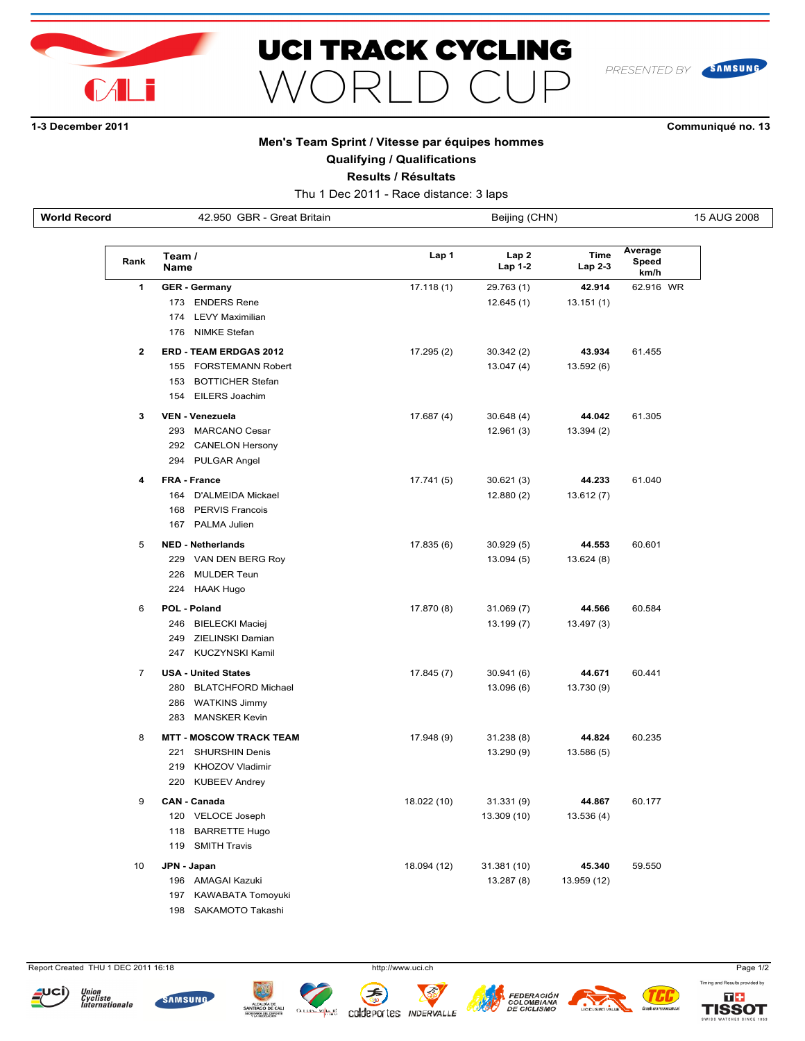



SAMSUNG PRESENTED BY

# **13 December 2011 Communiqué no. 13**

### **Men's Team Sprint / Vitesse par équipes hommes**

**Qualifying / Qualifications**

**Results / Résultats**

Thu 1 Dec 2011 - Race distance: 3 laps

**World Record** 42.950 GBR - Great Britain Beijing (CHN) Beijing (CHN) 15 AUG 2008

| Rank           | Team /<br><b>Name</b>            | Lap 1       | Lap2<br>Lap 1-2 | <b>Time</b><br>Lap 2-3 | Average<br>Speed<br>km/h |
|----------------|----------------------------------|-------------|-----------------|------------------------|--------------------------|
| 1              | <b>GER - Germany</b>             | 17.118(1)   | 29.763 (1)      | 42.914                 | 62.916 WR                |
|                | 173 ENDERS Rene                  |             | 12.645(1)       | 13.151 (1)             |                          |
|                | 174<br><b>LEVY Maximilian</b>    |             |                 |                        |                          |
|                | 176<br><b>NIMKE Stefan</b>       |             |                 |                        |                          |
| $\mathbf{2}$   | <b>ERD - TEAM ERDGAS 2012</b>    | 17.295(2)   | 30.342(2)       | 43.934                 | 61.455                   |
|                | 155<br><b>FORSTEMANN Robert</b>  |             | 13.047(4)       | 13.592 (6)             |                          |
|                | 153<br><b>BOTTICHER Stefan</b>   |             |                 |                        |                          |
|                | <b>EILERS Joachim</b><br>154     |             |                 |                        |                          |
| 3              | <b>VEN - Venezuela</b>           | 17.687(4)   | 30.648(4)       | 44.042                 | 61.305                   |
|                | 293<br><b>MARCANO Cesar</b>      |             | 12.961(3)       | 13.394(2)              |                          |
|                | 292 CANELON Hersony              |             |                 |                        |                          |
|                | 294<br>PULGAR Angel              |             |                 |                        |                          |
| 4              | FRA - France                     | 17.741 (5)  | 30.621(3)       | 44.233                 | 61.040                   |
|                | 164 D'ALMEIDA Mickael            |             | 12.880(2)       | 13.612(7)              |                          |
|                | <b>PERVIS Francois</b><br>168    |             |                 |                        |                          |
|                | 167 PALMA Julien                 |             |                 |                        |                          |
| 5              | <b>NED - Netherlands</b>         | 17.835(6)   | 30.929(5)       | 44.553                 | 60.601                   |
|                | 229<br>VAN DEN BERG Roy          |             | 13.094(5)       | 13.624 (8)             |                          |
|                | 226<br><b>MULDER Teun</b>        |             |                 |                        |                          |
|                | 224<br>HAAK Hugo                 |             |                 |                        |                          |
| 6              | <b>POL - Poland</b>              | 17.870 (8)  | 31.069(7)       | 44.566                 | 60.584                   |
|                | 246<br><b>BIELECKI Maciej</b>    |             | 13.199 (7)      | 13.497 (3)             |                          |
|                | 249<br>ZIELINSKI Damian          |             |                 |                        |                          |
|                | 247<br><b>KUCZYNSKI Kamil</b>    |             |                 |                        |                          |
| $\overline{7}$ | <b>USA - United States</b>       | 17.845 (7)  | 30.941(6)       | 44.671                 | 60.441                   |
|                | 280<br><b>BLATCHFORD Michael</b> |             | 13.096 (6)      | 13.730 (9)             |                          |
|                | 286<br><b>WATKINS Jimmy</b>      |             |                 |                        |                          |
|                | 283<br><b>MANSKER Kevin</b>      |             |                 |                        |                          |
| 8              | <b>MTT - MOSCOW TRACK TEAM</b>   | 17.948 (9)  | 31.238(8)       | 44.824                 | 60.235                   |
|                | 221<br><b>SHURSHIN Denis</b>     |             | 13.290 (9)      | 13.586 (5)             |                          |
|                | KHOZOV Vladimir<br>219           |             |                 |                        |                          |
|                | 220<br>KUBEEV Andrey             |             |                 |                        |                          |
| 9              | <b>CAN - Canada</b>              | 18.022 (10) | 31.331 (9)      | 44.867                 | 60.177                   |
|                | 120<br>VELOCE Joseph             |             | 13.309 (10)     | 13.536 (4)             |                          |
|                | 118<br><b>BARRETTE Hugo</b>      |             |                 |                        |                          |
|                | <b>SMITH Travis</b><br>119       |             |                 |                        |                          |
| 10             | JPN - Japan                      | 18.094 (12) | 31.381 (10)     | 45.340                 | 59.550                   |
|                | <b>AMAGAI Kazuki</b><br>196      |             | 13.287 (8)      | 13.959 (12)            |                          |
|                | <b>KAWABATA Tomoyuki</b><br>197  |             |                 |                        |                          |

198 SAKAMOTO Takashi

Report Created THU 1 DEC 2011 16:18 http://www.uci.ch http://www.uci.ch Page 1/2